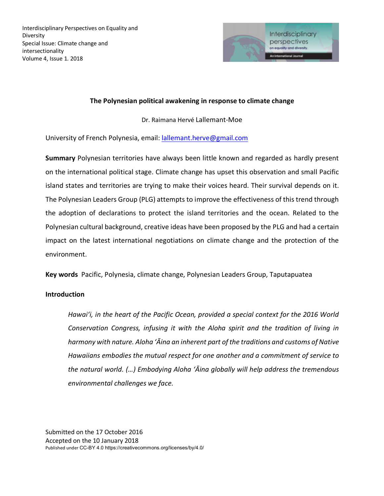

## **The Polynesian political awakening in response to climate change**

Dr. Raimana Hervé Lallemant-Moe

University of French Polynesia, email: lallemant.herve@gmail.com

**Summary** Polynesian territories have always been little known and regarded as hardly present on the international political stage. Climate change has upset this observation and small Pacific island states and territories are trying to make their voices heard. Their survival depends on it. The Polynesian Leaders Group (PLG) attempts to improve the effectiveness of this trend through the adoption of declarations to protect the island territories and the ocean. Related to the Polynesian cultural background, creative ideas have been proposed by the PLG and had a certain impact on the latest international negotiations on climate change and the protection of the environment.

**Key words** Pacific, Polynesia, climate change, Polynesian Leaders Group, Taputapuatea

### **Introduction**

*Hawaiʻi, in the heart of the Pacific Ocean, provided a special context for the 2016 World Conservation Congress, infusing it with the Aloha spirit and the tradition of living in harmony with nature. Aloha ʻĀina an inherent part of the traditions and customs of Native Hawaiians embodies the mutual respect for one another and a commitment of service to the natural world. (…) Embodying Aloha ʻĀina globally will help address the tremendous environmental challenges we face.*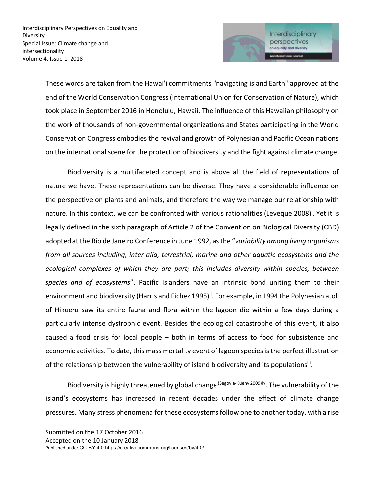

These words are taken from the Hawai'i commitments "navigating island Earth" approved at the end of the World Conservation Congress (International Union for Conservation of Nature), which took place in September 2016 in Honolulu, Hawaii. The influence of this Hawaiian philosophy on the work of thousands of non-governmental organizations and States participating in the World Conservation Congress embodies the revival and growth of Polynesian and Pacific Ocean nations on the international scene for the protection of biodiversity and the fight against climate change.

Biodiversity is a multifaceted concept and is above all the field of representations of nature we have. These representations can be diverse. They have a considerable influence on the perspective on plants and animals, and therefore the way we manage our relationship with nature. In this context, we can be confronted with various rationalities (Leveque 2008)<sup>i</sup>. Yet it is legally defined in the sixth paragraph of Article 2 of the Convention on Biological Diversity (CBD) adopted at the Rio de Janeiro Conference in June 1992, as the "*variability among living organisms from all sources including, inter alia, terrestrial, marine and other aquatic ecosystems and the ecological complexes of which they are part; this includes diversity within species, between species and of ecosystems*". Pacific Islanders have an intrinsic bond uniting them to their environment and biodiversity (Harris and Fichez 1995)<sup>ii</sup>. For example, in 1994 the Polynesian atoll of Hikueru saw its entire fauna and flora within the lagoon die within a few days during a particularly intense dystrophic event. Besides the ecological catastrophe of this event, it also caused a food crisis for local people – both in terms of access to food for subsistence and economic activities. To date, this mass mortality event of lagoon species is the perfect illustration of the relationship between the vulnerability of island biodiversity and its populations<sup>iii</sup>.

Biodiversity is highly threatened by global change (Segovia-Kueny 2009)iv. The vulnerability of the island's ecosystems has increased in recent decades under the effect of climate change pressures. Many stress phenomena for these ecosystems follow one to another today, with a rise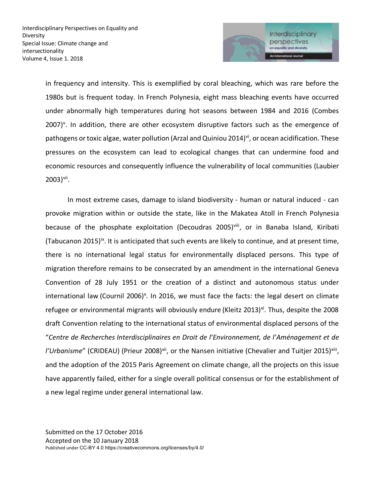

in frequency and intensity. This is exemplified by coral bleaching, which was rare before the 1980s but is frequent today. In French Polynesia, eight mass bleaching events have occurred under abnormally high temperatures during hot seasons between 1984 and 2016 (Combes 2007)<sup>v</sup>. In addition, there are other ecosystem disruptive factors such as the emergence of pathogens or toxic algae, water pollution (Arzal and Quiniou 2014)<sup>vi</sup>, or ocean acidification. These pressures on the ecosystem can lead to ecological changes that can undermine food and economic resources and consequently influence the vulnerability of local communities (Laubier  $2003$ <sup>vii</sup>.

In most extreme cases, damage to island biodiversity - human or natural induced - can provoke migration within or outside the state, like in the Makatea Atoll in French Polynesia because of the phosphate exploitation (Decoudras 2005)viii, or in Banaba Island, Kiribati (Tabucanon 2015)<sup>ix</sup>. It is anticipated that such events are likely to continue, and at present time, there is no international legal status for environmentally displaced persons. This type of migration therefore remains to be consecrated by an amendment in the international Geneva Convention of 28 July 1951 or the creation of a distinct and autonomous status under international law (Cournil 2006)<sup>x</sup>. In 2016, we must face the facts: the legal desert on climate refugee or environmental migrants will obviously endure (Kleitz 2013)<sup>xi</sup>. Thus, despite the 2008 draft Convention relating to the international status of environmental displaced persons of the "*Centre de Recherches Interdisciplinaires en Droit de l'Environnement, de l'Aménagement et de l'Urbanisme"* (CRIDEAU) (Prieur 2008)<sup>xii</sup>, or the Nansen initiative (Chevalier and Tuitjer 2015)<sup>xiii</sup>, and the adoption of the 2015 Paris Agreement on climate change, all the projects on this issue have apparently failed, either for a single overall political consensus or for the establishment of a new legal regime under general international law.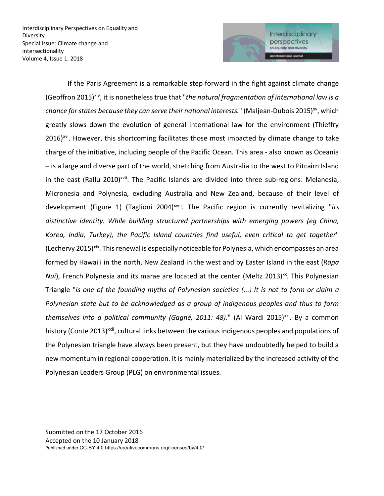

If the Paris Agreement is a remarkable step forward in the fight against climate change (Geoffron 2015)xiv, it is nonetheless true that "*the natural fragmentation of international law is a chance for states because they can serve their national interests.*" (Maljean-Dubois 2015)<sup>xv</sup>, which greatly slows down the evolution of general international law for the environment (Thieffry 2016)<sup>xvi</sup>. However, this shortcoming facilitates those most impacted by climate change to take charge of the initiative, including people of the Pacific Ocean. This area - also known as Oceania – is a large and diverse part of the world, stretching from Australia to the west to Pitcairn Island in the east (Rallu 2010)<sup>xvii</sup>. The Pacific Islands are divided into three sub-regions: Melanesia, Micronesia and Polynesia, excluding Australia and New Zealand, because of their level of development (Figure 1) (Taglioni 2004)<sup>xviii</sup>. The Pacific region is currently revitalizing "its *distinctive identity. While building structured partnerships with emerging powers (eg China, Korea, India, Turkey), the Pacific Island countries find useful, even critical to get together*" (Lechervy 2015)<sup>xix</sup>. This renewal is especially noticeable for Polynesia, which encompasses an area formed by Hawai'i in the north, New Zealand in the west and by Easter Island in the east (*Rapa Nui*), French Polynesia and its marae are located at the center (Meltz 2013)<sup>xx</sup>. This Polynesian Triangle "*is one of the founding myths of Polynesian societies (...) It is not to form or claim a Polynesian state but to be acknowledged as a group of indigenous peoples and thus to form*  themselves into a political community (Gagné, 2011: 48)." (Al Wardi 2015)<sup>xxi</sup>. By a common history (Conte 2013)<sup>xxii</sup>, cultural links between the various indigenous peoples and populations of the Polynesian triangle have always been present, but they have undoubtedly helped to build a new momentum in regional cooperation. It is mainly materialized by the increased activity of the Polynesian Leaders Group (PLG) on environmental issues.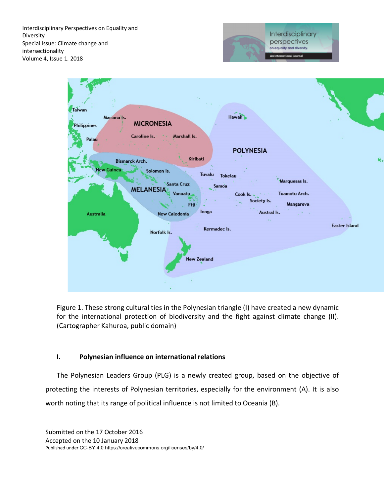



Figure 1. These strong cultural ties in the Polynesian triangle (I) have created a new dynamic for the international protection of biodiversity and the fight against climate change (II). (Cartographer Kahuroa, public domain)

### **I. Polynesian influence on international relations**

The Polynesian Leaders Group (PLG) is a newly created group, based on the objective of protecting the interests of Polynesian territories, especially for the environment (A). It is also worth noting that its range of political influence is not limited to Oceania (B).

Submitted on the 17 October 2016 Accepted on the 10 January 2018 Published under CC-BY 4.0 https://creativecommons.org/licenses/by/4.0/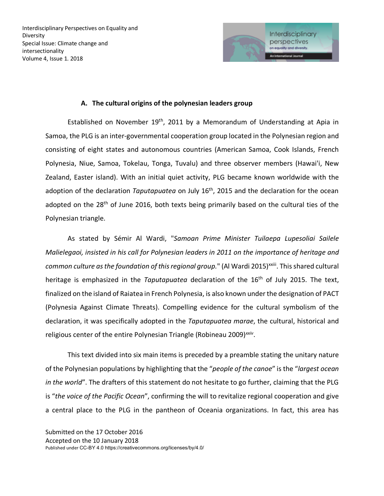

### **A. The cultural origins of the polynesian leaders group**

Established on November  $19<sup>th</sup>$ , 2011 by a Memorandum of Understanding at Apia in Samoa, the PLG is an inter-governmental cooperation group located in the Polynesian region and consisting of eight states and autonomous countries (American Samoa, Cook Islands, French Polynesia, Niue, Samoa, Tokelau, Tonga, Tuvalu) and three observer members (Hawai'i, New Zealand, Easter island). With an initial quiet activity, PLG became known worldwide with the adoption of the declaration *Taputapuatea* on July 16<sup>th</sup>, 2015 and the declaration for the ocean adopted on the 28<sup>th</sup> of June 2016, both texts being primarily based on the cultural ties of the Polynesian triangle.

As stated by Sémir Al Wardi, "*Samoan Prime Minister Tuilaepa Lupesoliai Sailele Malielegaoi, insisted in his call for Polynesian leaders in 2011 on the importance of heritage and*  common culture as the foundation of this regional group." (Al Wardi 2015)<sup>xxiii</sup>. This shared cultural heritage is emphasized in the *Taputapuatea* declaration of the 16th of July 2015. The text, finalized on the island of Raiatea in French Polynesia, is also known under the designation of PACT (Polynesia Against Climate Threats). Compelling evidence for the cultural symbolism of the declaration, it was specifically adopted in the *Taputapuatea marae*, the cultural, historical and religious center of the entire Polynesian Triangle (Robineau 2009)*xxiv*.

This text divided into six main items is preceded by a preamble stating the unitary nature of the Polynesian populations by highlighting that the "*people of the canoe*" is the "*largest ocean in the world*". The drafters of this statement do not hesitate to go further, claiming that the PLG is "*the voice of the Pacific Ocean*", confirming the will to revitalize regional cooperation and give a central place to the PLG in the pantheon of Oceania organizations. In fact, this area has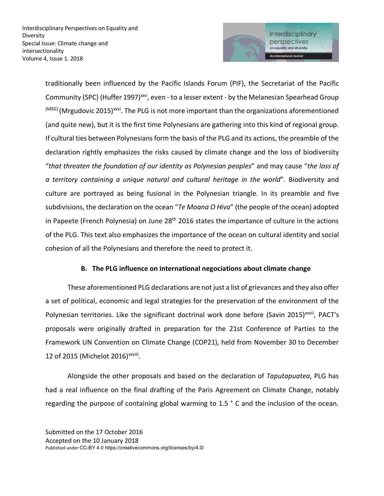

traditionally been influenced by the Pacific Islands Forum (PIF), the Secretariat of the Pacific Community (SPC) (Huffer 1997)<sup>xxv</sup>, even - to a lesser extent - by the Melanesian Spearhead Group  $^{(MSG)}$  (Mrgudovic 2015)<sup>xxvi</sup>. The PLG is not more important than the organizations aforementioned (and quite new), but it is the first time Polynesians are gathering into this kind of regional group. If cultural ties between Polynesians form the basis of the PLG and its actions, the preamble of the declaration rightly emphasizes the risks caused by climate change and the loss of biodiversity "*that threaten the foundation of our identity as Polynesian peoples*" and may cause "*the loss of a territory containing a unique natural and cultural heritage in the world*". Biodiversity and culture are portrayed as being fusional in the Polynesian triangle. In its preamble and five subdivisions, the declaration on the ocean "*Te Moana O Hiva*" (the people of the ocean) adopted in Papeete (French Polynesia) on June  $28<sup>th</sup>$  2016 states the importance of culture in the actions of the PLG. This text also emphasizes the importance of the ocean on cultural identity and social cohesion of all the Polynesians and therefore the need to protect it.

# **B. The PLG influence on international negociations about climate change**

These aforementioned PLG declarations are not just a list of grievances and they also offer a set of political, economic and legal strategies for the preservation of the environment of the Polynesian territories. Like the significant doctrinal work done before (Savin 2015)<sup>xxvii</sup>, PACT's proposals were originally drafted in preparation for the 21st Conference of Parties to the Framework UN Convention on Climate Change (COP21), held from November 30 to December 12 of 2015 (Michelot 2016)<sup>xxviii</sup>.

Alongside the other proposals and based on the declaration of *Taputapuatea*, PLG has had a real influence on the final drafting of the Paris Agreement on Climate Change, notably regarding the purpose of containing global warming to 1.5 ° C and the inclusion of the ocean.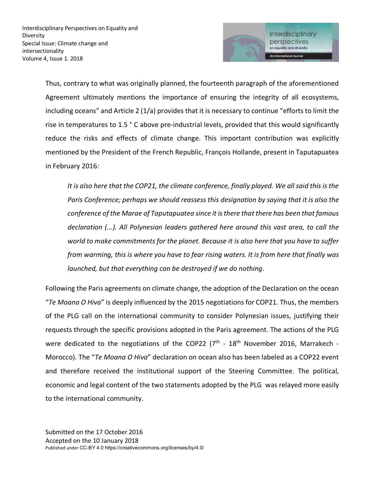

Thus, contrary to what was originally planned, the fourteenth paragraph of the aforementioned Agreement ultimately mentions the importance of ensuring the integrity of all ecosystems, including oceans" and Article 2 (1/a) provides that it is necessary to continue "efforts to limit the rise in temperatures to 1.5 ° C above pre-industrial levels, provided that this would significantly reduce the risks and effects of climate change. This important contribution was explicitly mentioned by the President of the French Republic, François Hollande, present in Taputapuatea in February 2016:

*It is also here that the COP21, the climate conference, finally played. We all said this is the Paris Conference; perhaps we should reassess this designation by saying that it is also the conference of the Marae of Taputapuatea since it is there that there has been that famous declaration (...). All Polynesian leaders gathered here around this vast area, to call the world to make commitments for the planet. Because it is also here that you have to suffer from warming, this is where you have to fear rising waters. It is from here that finally was launched, but that everything can be destroyed if we do nothing*.

Following the Paris agreements on climate change, the adoption of the Declaration on the ocean "*Te Moana O Hiva*" is deeply influenced by the 2015 negotiations for COP21. Thus, the members of the PLG call on the international community to consider Polynesian issues, justifying their requests through the specific provisions adopted in the Paris agreement. The actions of the PLG were dedicated to the negotiations of the COP22 ( $7<sup>th</sup>$  -  $18<sup>th</sup>$  November 2016, Marrakech -Morocco). The "*Te Moana O Hiva*" declaration on ocean also has been labeled as a COP22 event and therefore received the institutional support of the Steering Committee. The political, economic and legal content of the two statements adopted by the PLG was relayed more easily to the international community.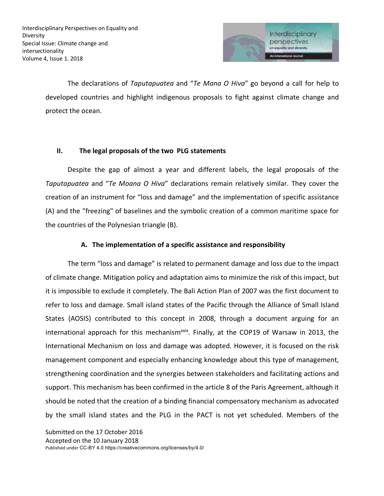

The declarations of *Taputapuatea* and "*Te Mana O Hiva*" go beyond a call for help to developed countries and highlight indigenous proposals to fight against climate change and protect the ocean.

## **II. The legal proposals of the two PLG statements**

Despite the gap of almost a year and different labels, the legal proposals of the *Taputapuatea* and "*Te Moana O Hiva*" declarations remain relatively similar. They cover the creation of an instrument for "loss and damage" and the implementation of specific assistance (A) and the "freezing" of baselines and the symbolic creation of a common maritime space for the countries of the Polynesian triangle (B).

## **A. The implementation of a specific assistance and responsibility**

The term "loss and damage" is related to permanent damage and loss due to the impact of climate change. Mitigation policy and adaptation aims to minimize the risk of this impact, but it is impossible to exclude it completely. The Bali Action Plan of 2007 was the first document to refer to loss and damage. Small island states of the Pacific through the Alliance of Small Island States (AOSIS) contributed to this concept in 2008, through a document arguing for an international approach for this mechanism $x$ <sup>xxix</sup>. Finally, at the COP19 of Warsaw in 2013, the International Mechanism on loss and damage was adopted. However, it is focused on the risk management component and especially enhancing knowledge about this type of management, strengthening coordination and the synergies between stakeholders and facilitating actions and support. This mechanism has been confirmed in the article 8 of the Paris Agreement, although it should be noted that the creation of a binding financial compensatory mechanism as advocated by the small island states and the PLG in the PACT is not yet scheduled. Members of the

Submitted on the 17 October 2016 Accepted on the 10 January 2018 Published under CC-BY 4.0 https://creativecommons.org/licenses/by/4.0/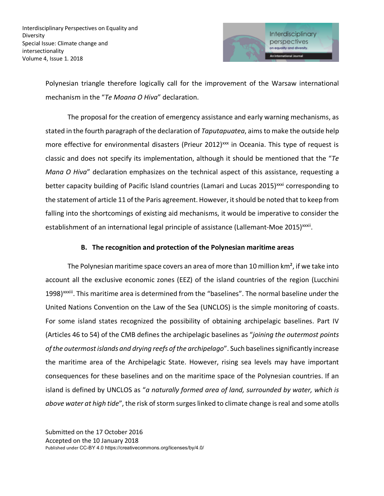

Polynesian triangle therefore logically call for the improvement of the Warsaw international mechanism in the "*Te Moana O Hiva*" declaration.

The proposal for the creation of emergency assistance and early warning mechanisms, as stated in the fourth paragraph of the declaration of *Taputapuatea*, aims to make the outside help more effective for environmental disasters (Prieur 2012)<sup>xx</sup> in Oceania. This type of request is classic and does not specify its implementation, although it should be mentioned that the "*Te Mana O Hiva*" declaration emphasizes on the technical aspect of this assistance, requesting a better capacity building of Pacific Island countries (Lamari and Lucas 2015)<sup>xxxi</sup> corresponding to the statement of article 11 of the Paris agreement. However, it should be noted that to keep from falling into the shortcomings of existing aid mechanisms, it would be imperative to consider the establishment of an international legal principle of assistance (Lallemant-Moe 2015)<sup>xxxii</sup>.

### **B. The recognition and protection of the Polynesian maritime areas**

The Polynesian maritime space covers an area of more than 10 million  $km^2$ , if we take into account all the exclusive economic zones (EEZ) of the island countries of the region (Lucchini 1998)<sup>xxxiii</sup>. This maritime area is determined from the "baselines". The normal baseline under the United Nations Convention on the Law of the Sea (UNCLOS) is the simple monitoring of coasts. For some island states recognized the possibility of obtaining archipelagic baselines. Part IV (Articles 46 to 54) of the CMB defines the archipelagic baselines as "*joining the outermost points of the outermost islands and drying reefs of the archipelago*". Such baselines significantly increase the maritime area of the Archipelagic State. However, rising sea levels may have important consequences for these baselines and on the maritime space of the Polynesian countries. If an island is defined by UNCLOS as "*a naturally formed area of land, surrounded by water, which is above water at high tide*", the risk of storm surges linked to climate change is real and some atolls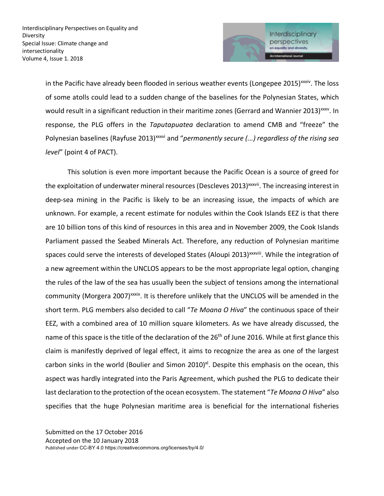

in the Pacific have already been flooded in serious weather events (Longepee 2015)<sup>xxxiv</sup>. The loss of some atolls could lead to a sudden change of the baselines for the Polynesian States, which would result in a significant reduction in their maritime zones (Gerrard and Wannier 2013)<sup>xxxv</sup>. In response, the PLG offers in the *Taputapuatea* declaration to amend CMB and "freeze" the Polynesian baselines (Rayfuse 2013)<sup>xxxvi</sup> and "*permanently secure (...) regardless of the rising sea level*" (point 4 of PACT).

This solution is even more important because the Pacific Ocean is a source of greed for the exploitation of underwater mineral resources (Descleves 2013)<sup>xxxvii</sup>. The increasing interest in deep-sea mining in the Pacific is likely to be an increasing issue, the impacts of which are unknown. For example, a recent estimate for nodules within the Cook Islands EEZ is that there are 10 billion tons of this kind of resources in this area and in November 2009, the Cook Islands Parliament passed the Seabed Minerals Act. Therefore, any reduction of Polynesian maritime spaces could serve the interests of developed States (Aloupi 2013)<sup>xxxviii</sup>. While the integration of a new agreement within the UNCLOS appears to be the most appropriate legal option, changing the rules of the law of the sea has usually been the subject of tensions among the international community (Morgera 2007)<sup>xxxix</sup>. It is therefore unlikely that the UNCLOS will be amended in the short term. PLG members also decided to call "*Te Moana O Hiva*" the continuous space of their EEZ, with a combined area of 10 million square kilometers. As we have already discussed, the name of this space is the title of the declaration of the 26<sup>th</sup> of June 2016. While at first glance this claim is manifestly deprived of legal effect, it aims to recognize the area as one of the largest carbon sinks in the world (Boulier and Simon 2010)<sup>xl</sup>. Despite this emphasis on the ocean, this aspect was hardly integrated into the Paris Agreement, which pushed the PLG to dedicate their last declaration to the protection of the ocean ecosystem. The statement "*Te Moana O Hiva*" also specifies that the huge Polynesian maritime area is beneficial for the international fisheries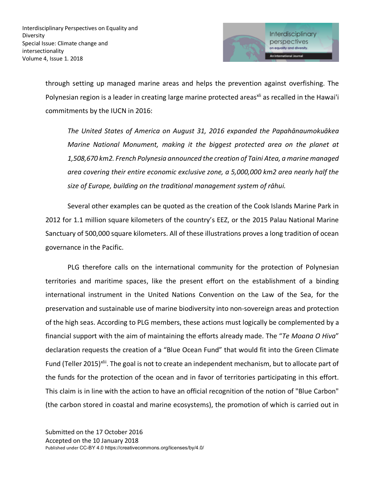

through setting up managed marine areas and helps the prevention against overfishing. The Polynesian region is a leader in creating large marine protected areas<sup>xii</sup> as recalled in the Hawai'i commitments by the IUCN in 2016:

*The United States of America on August 31, 2016 expanded the Papahānaumokuākea Marine National Monument, making it the biggest protected area on the planet at 1,508,670 km2. French Polynesia announced the creation of Taini Atea, a marine managed area covering their entire economic exclusive zone, a 5,000,000 km2 area nearly half the size of Europe, building on the traditional management system of rāhui.*

Several other examples can be quoted as the creation of the Cook Islands Marine Park in 2012 for 1.1 million square kilometers of the country's EEZ, or the 2015 Palau National Marine Sanctuary of 500,000 square kilometers. All of these illustrations proves a long tradition of ocean governance in the Pacific.

PLG therefore calls on the international community for the protection of Polynesian territories and maritime spaces, like the present effort on the establishment of a binding international instrument in the United Nations Convention on the Law of the Sea, for the preservation and sustainable use of marine biodiversity into non-sovereign areas and protection of the high seas. According to PLG members, these actions must logically be complemented by a financial support with the aim of maintaining the efforts already made. The "*Te Moana O Hiva*" declaration requests the creation of a "Blue Ocean Fund" that would fit into the Green Climate Fund (Teller 2015)<sup>xlii</sup>. The goal is not to create an independent mechanism, but to allocate part of the funds for the protection of the ocean and in favor of territories participating in this effort. This claim is in line with the action to have an official recognition of the notion of "Blue Carbon" (the carbon stored in coastal and marine ecosystems), the promotion of which is carried out in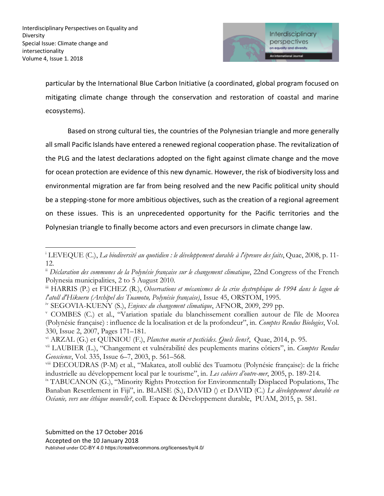$\overline{a}$ 



particular by the International Blue Carbon Initiative (a coordinated, global program focused on mitigating climate change through the conservation and restoration of coastal and marine ecosystems).

Based on strong cultural ties, the countries of the Polynesian triangle and more generally all small Pacific Islands have entered a renewed regional cooperation phase. The revitalization of the PLG and the latest declarations adopted on the fight against climate change and the move for ocean protection are evidence of this new dynamic. However, the risk of biodiversity loss and environmental migration are far from being resolved and the new Pacific political unity should be a stepping-stone for more ambitious objectives, such as the creation of a regional agreement on these issues. This is an unprecedented opportunity for the Pacific territories and the Polynesian triangle to finally become actors and even precursors in climate change law.

<sup>i</sup> LEVEQUE (C.), *La biodiversité au quotidien : le développement durable à l'épreuve des faits*, Quae, 2008, p. 11- 12.

ii *Déclaration des communes de la Polynésie française sur le changement climatique*, 22nd Congress of the French Polynesia municipalities, 2 to 5 August 2010.

iii HARRIS (P.) et FICHEZ (R.), *Observations et mécanismes de la crise dystrophique de 1994 dans le lagon de l'atoll d'Hikueru (Archipel des Tuamotu, Polynésie française)*, Issue 45, ORSTOM, 1995.

iv SEGOVIA-KUENY (S.), *Enjeux du changement climatique*, AFNOR, 2009, 299 pp.

<sup>v</sup> COMBES (C.) et al., "Variation spatiale du blanchissement corallien autour de l'île de Moorea (Polynésie française) : influence de la localisation et de la profondeur", in*. Comptes Rendus Biologies*, Vol. 330, Issue 2, 2007, Pages 171–181.

vi ARZAL (G.) et QUINIOU (F.), *Plancton marin et pesticides. Quels liens?*, Quae, 2014, p. 95.

vii LAUBIER (L.), "Changement et vulnérabilité des peuplements marins côtiers", in. *Comptes Rendus Geoscience*, Vol. 335, Issue 6–7, 2003, p. 561–568.

viii DECOUDRAS (P-M) et al., "Makatea, atoll oublié des Tuamotu (Polynésie française): de la friche industrielle au développement local par le tourisme", in. *Les cahiers d'outre-mer*, 2005, p. 189-214.

ix TABUCANON (G.), "Minority Rights Protection for Environmentally Displaced Populations, The Banaban Resettlement in Fiji", in. BLAISE (S.), DAVID () et DAVID (C.) *Le développement durable en Océanie, vers une éthique nouvelle?*, coll. Espace & Développement durable, PUAM, 2015, p. 581.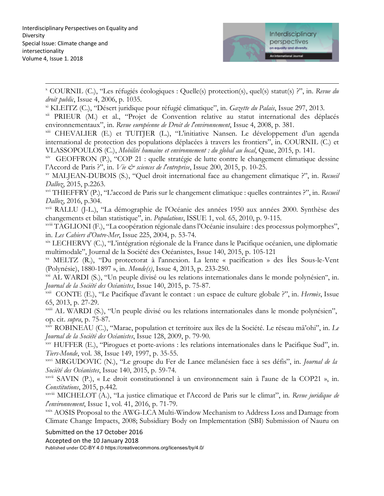

 $\overline{a}$ <sup>x</sup> COURNIL (C.), "Les réfugiés écologiques : Quelle(s) protection(s), quel(s) statut(s) ?", in. *Revue du droit public*, Issue 4, 2006, p. 1035.

xi KLEITZ (C.), "Désert juridique pour réfugié climatique", in. *Gazette du Palais*, Issue 297, 2013.

xii PRIEUR (M.) et al., "Projet de Convention relative au statut international des déplacés environnementaux", in. *Revue européenne de Droit de l'environnement*, Issue 4, 2008, p. 381.

xiii CHEVALIER (E.) et TUITJER (L.), "L'initiative Nansen. Le développement d'un agenda international de protection des populations déplacées à travers les frontiers", in. COURNIL (C.) et VLASSOPOULOS (C.), *Mobilité humaine et environnement : du global au local*, Quae, 2015, p. 141.

xiv GEOFFRON (P.), "COP 21 : quelle stratégie de lutte contre le changement climatique dessine l'Accord de Paris ?", in. *Vie & sciences de l'entreprise*, Issue 200, 2015, p. 10-25.

xv MALJEAN-DUBOIS (S.), "Quel droit international face au changement climatique ?", in. *Recueil Dalloz*, 2015, p.2263.

xvi THIEFFRY (P.), "L'accord de Paris sur le changement climatique : quelles contraintes ?", in. *Recueil Dalloz*, 2016, p.304.

xvii RALLU (J-L.), "La démographie de l'Océanie des années 1950 aux années 2000. Synthèse des changements et bilan statistique", in. *Populations*, ISSUE 1, vol. 65, 2010, p. 9-115.

xviii TAGLIONI (F.), "La coopération régionale dans l'Océanie insulaire : des processus polymorphes", in. *Les Cahiers d'Outre-Mer*, Issue 225, 2004, p. 53-74.

xix LECHERVY (C.), "L'intégration régionale de la France dans le Pacifique océanien, une diplomatie multimodale", Journal de la Société des Océanistes, Issue 140, 2015, p. 105-121

xx MELTZ (R.), "Du protectorat à l'annexion. La lente « pacification » des Îles Sous-le-Vent (Polynésie), 1880-1897 », in. *Monde(s)*, Issue 4, 2013, p. 233-250.

<sup>xxi</sup> AL WARDI (S.), "Un peuple divisé ou les relations internationales dans le monde polynésien", in. *Journal de la Société des Océanistes*, Issue 140, 2015, p. 75-87.

xxii CONTE (E.), "Le Pacifique d'avant le contact : un espace de culture globale ?", in. *Hermès*, Issue 65, 2013, p. 27-29.

xxiii AL WARDI (S.), "Un peuple divisé ou les relations internationales dans le monde polynésien", op. cit. *supra*, p. 75-87.

xxiv ROBINEAU (C.), "Marae, population et territoire aux îles de la Société. Le réseau mā'ohi", in. *Le Journal de la Société des Océanistes*, Issue 128, 2009, p. 79-90.

xxv HUFFER (E.), "Pirogues et porte-avions : les relations internationales dans le Pacifique Sud", in. *Tiers-Monde*, vol. 38, Issue 149, 1997, p. 35-55.

xxvi MRGUDOVIC (N.), "Le groupe du Fer de Lance mélanésien face à ses défis", in. *Journal de la Société des Océanistes*, Issue 140, 2015, p. 59-74.

xxvii SAVIN (P.), « Le droit constitutionnel à un environnement sain à l'aune de la COP21 », in. *Constitutions*, 2015, p.442.

xxviii MICHELOT (A.), "La justice climatique et l'Accord de Paris sur le climat", in*. Revue juridique de l'environnement*, Issue 1, vol. 41, 2016, p. 71-79.

xxix AOSIS Proposal to the AWG-LCA Multi-Window Mechanism to Address Loss and Damage from Climate Change Impacts, 2008; Subsidiary Body on Implementation (SBI) Submission of Nauru on

Submitted on the 17 October 2016

Accepted on the 10 January 2018

Published under CC-BY 4.0 https://creativecommons.org/licenses/by/4.0/